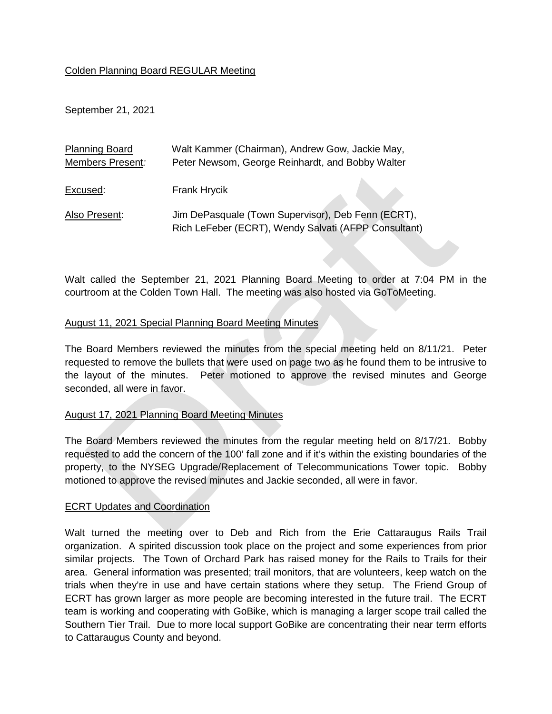### Colden Planning Board REGULAR Meeting

September 21, 2021

| <b>Planning Board</b> | Walt Kammer (Chairman), Andrew Gow, Jackie May,      |
|-----------------------|------------------------------------------------------|
| Members Present:      | Peter Newsom, George Reinhardt, and Bobby Walter     |
|                       |                                                      |
| Excused:              | Frank Hrycik                                         |
|                       |                                                      |
| Also Present:         | Jim DePasquale (Town Supervisor), Deb Fenn (ECRT),   |
|                       | Rich LeFeber (ECRT), Wendy Salvati (AFPP Consultant) |

Walt called the September 21, 2021 Planning Board Meeting to order at 7:04 PM in the courtroom at the Colden Town Hall. The meeting was also hosted via GoToMeeting.

## August 11, 2021 Special Planning Board Meeting Minutes

The Board Members reviewed the minutes from the special meeting held on 8/11/21. Peter requested to remove the bullets that were used on page two as he found them to be intrusive to the layout of the minutes. Peter motioned to approve the revised minutes and George seconded, all were in favor.

### August 17, 2021 Planning Board Meeting Minutes

The Board Members reviewed the minutes from the regular meeting held on 8/17/21. Bobby requested to add the concern of the 100' fall zone and if it's within the existing boundaries of the property, to the NYSEG Upgrade/Replacement of Telecommunications Tower topic. Bobby motioned to approve the revised minutes and Jackie seconded, all were in favor.

### ECRT Updates and Coordination

Walt turned the meeting over to Deb and Rich from the Erie Cattaraugus Rails Trail organization. A spirited discussion took place on the project and some experiences from prior similar projects. The Town of Orchard Park has raised money for the Rails to Trails for their area. General information was presented; trail monitors, that are volunteers, keep watch on the trials when they're in use and have certain stations where they setup. The Friend Group of ECRT has grown larger as more people are becoming interested in the future trail. The ECRT team is working and cooperating with GoBike, which is managing a larger scope trail called the Southern Tier Trail. Due to more local support GoBike are concentrating their near term efforts to Cattaraugus County and beyond.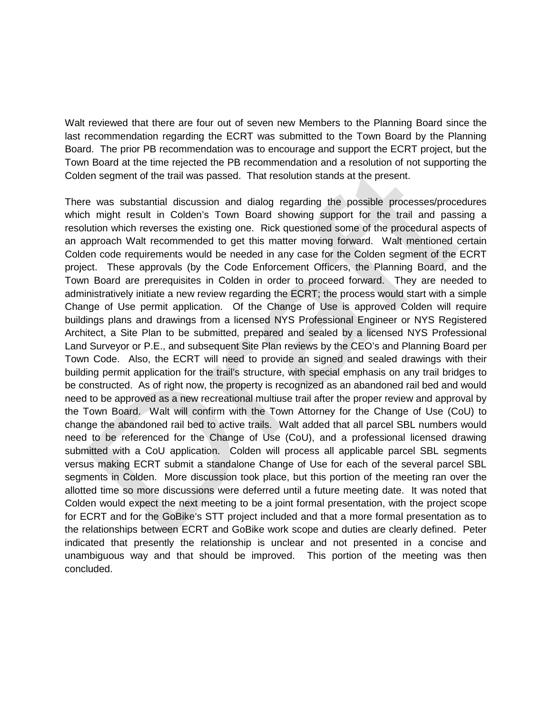Walt reviewed that there are four out of seven new Members to the Planning Board since the last recommendation regarding the ECRT was submitted to the Town Board by the Planning Board. The prior PB recommendation was to encourage and support the ECRT project, but the Town Board at the time rejected the PB recommendation and a resolution of not supporting the Colden segment of the trail was passed. That resolution stands at the present.

There was substantial discussion and dialog regarding the possible processes/procedures which might result in Colden's Town Board showing support for the trail and passing a resolution which reverses the existing one. Rick questioned some of the procedural aspects of an approach Walt recommended to get this matter moving forward. Walt mentioned certain Colden code requirements would be needed in any case for the Colden segment of the ECRT project. These approvals (by the Code Enforcement Officers, the Planning Board, and the Town Board are prerequisites in Colden in order to proceed forward. They are needed to administratively initiate a new review regarding the ECRT; the process would start with a simple Change of Use permit application. Of the Change of Use is approved Colden will require buildings plans and drawings from a licensed NYS Professional Engineer or NYS Registered Architect, a Site Plan to be submitted, prepared and sealed by a licensed NYS Professional Land Surveyor or P.E., and subsequent Site Plan reviews by the CEO's and Planning Board per Town Code. Also, the ECRT will need to provide an signed and sealed drawings with their building permit application for the trail's structure, with special emphasis on any trail bridges to be constructed. As of right now, the property is recognized as an abandoned rail bed and would need to be approved as a new recreational multiuse trail after the proper review and approval by the Town Board. Walt will confirm with the Town Attorney for the Change of Use (CoU) to change the abandoned rail bed to active trails. Walt added that all parcel SBL numbers would need to be referenced for the Change of Use (CoU), and a professional licensed drawing submitted with a CoU application. Colden will process all applicable parcel SBL segments versus making ECRT submit a standalone Change of Use for each of the several parcel SBL segments in Colden. More discussion took place, but this portion of the meeting ran over the allotted time so more discussions were deferred until a future meeting date. It was noted that Colden would expect the next meeting to be a joint formal presentation, with the project scope for ECRT and for the GoBike's STT project included and that a more formal presentation as to the relationships between ECRT and GoBike work scope and duties are clearly defined. Peter indicated that presently the relationship is unclear and not presented in a concise and unambiguous way and that should be improved. This portion of the meeting was then concluded.